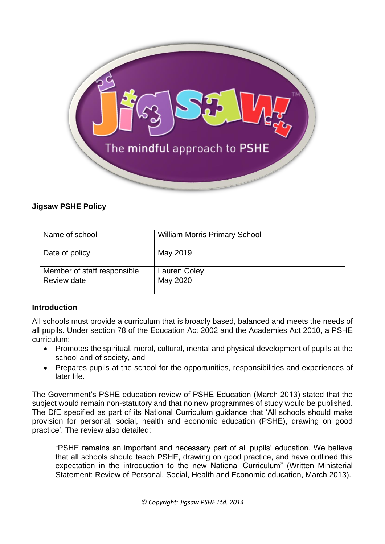

## **Jigsaw PSHE Policy**

| Name of school              | <b>William Morris Primary School</b> |
|-----------------------------|--------------------------------------|
| Date of policy              | May 2019                             |
| Member of staff responsible | Lauren Coley                         |
| Review date                 | May 2020                             |

#### **Introduction**

All schools must provide a curriculum that is broadly based, balanced and meets the needs of all pupils. Under section 78 of the Education Act 2002 and the Academies Act 2010, a PSHE curriculum:

- Promotes the spiritual, moral, cultural, mental and physical development of pupils at the school and of society, and
- Prepares pupils at the school for the opportunities, responsibilities and experiences of later life.

The Government's PSHE education review of PSHE Education (March 2013) stated that the subject would remain non-statutory and that no new programmes of study would be published. The DfE specified as part of its National Curriculum guidance that 'All schools should make provision for personal, social, health and economic education (PSHE), drawing on good practice'. The review also detailed:

"PSHE remains an important and necessary part of all pupils' education. We believe that all schools should teach PSHE, drawing on good practice, and have outlined this expectation in the introduction to the new National Curriculum" (Written Ministerial Statement: Review of Personal, Social, Health and Economic education, March 2013).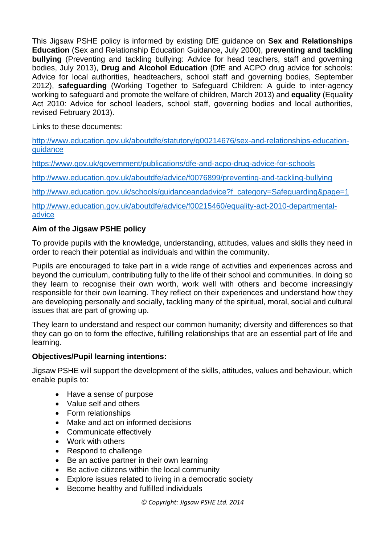This Jigsaw PSHE policy is informed by existing DfE guidance on **Sex and Relationships Education** (Sex and Relationship Education Guidance, July 2000), **preventing and tackling bullying** (Preventing and tackling bullying: Advice for head teachers, staff and governing bodies, July 2013), **Drug and Alcohol Education** (DfE and ACPO drug advice for schools: Advice for local authorities, headteachers, school staff and governing bodies, September 2012), **safeguarding** (Working Together to Safeguard Children: A guide to inter-agency working to safeguard and promote the welfare of children, March 2013) and **equality** (Equality Act 2010: Advice for school leaders, school staff, governing bodies and local authorities, revised February 2013).

Links to these documents:

[http://www.education.gov.uk/aboutdfe/statutory/g00214676/sex-and-relationships-education](http://www.education.gov.uk/aboutdfe/statutory/g00214676/sex-and-relationships-education-guidance)[guidance](http://www.education.gov.uk/aboutdfe/statutory/g00214676/sex-and-relationships-education-guidance)

<https://www.gov.uk/government/publications/dfe-and-acpo-drug-advice-for-schools>

<http://www.education.gov.uk/aboutdfe/advice/f0076899/preventing-and-tackling-bullying>

[http://www.education.gov.uk/schools/guidanceandadvice?f\\_category=Safeguarding&page=1](http://www.education.gov.uk/schools/guidanceandadvice?f_category=Safeguarding&page=1)

[http://www.education.gov.uk/aboutdfe/advice/f00215460/equality-act-2010-departmental](http://www.education.gov.uk/aboutdfe/advice/f00215460/equality-act-2010-departmental-advice)[advice](http://www.education.gov.uk/aboutdfe/advice/f00215460/equality-act-2010-departmental-advice)

# **Aim of the Jigsaw PSHE policy**

To provide pupils with the knowledge, understanding, attitudes, values and skills they need in order to reach their potential as individuals and within the community.

Pupils are encouraged to take part in a wide range of activities and experiences across and beyond the curriculum, contributing fully to the life of their school and communities. In doing so they learn to recognise their own worth, work well with others and become increasingly responsible for their own learning. They reflect on their experiences and understand how they are developing personally and socially, tackling many of the spiritual, moral, social and cultural issues that are part of growing up.

They learn to understand and respect our common humanity; diversity and differences so that they can go on to form the effective, fulfilling relationships that are an essential part of life and learning.

# **Objectives/Pupil learning intentions:**

Jigsaw PSHE will support the development of the skills, attitudes, values and behaviour, which enable pupils to:

- Have a sense of purpose
- Value self and others
- Form relationships
- Make and act on informed decisions
- Communicate effectively
- Work with others
- Respond to challenge
- Be an active partner in their own learning
- Be active citizens within the local community
- Explore issues related to living in a democratic society
- Become healthy and fulfilled individuals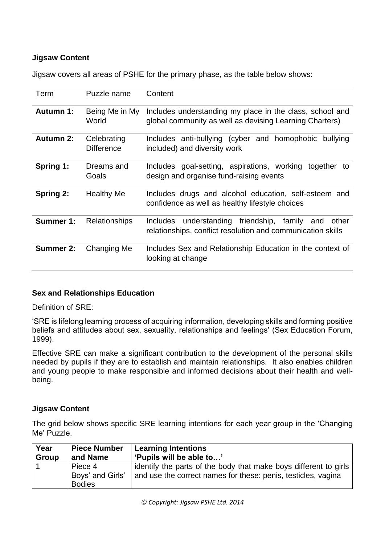## **Jigsaw Content**

Jigsaw covers all areas of PSHE for the primary phase, as the table below shows:

| Term             | Puzzle name                      | Content                                                                                                                               |  |
|------------------|----------------------------------|---------------------------------------------------------------------------------------------------------------------------------------|--|
| <b>Autumn 1:</b> | Being Me in My<br>World          | Includes understanding my place in the class, school and<br>global community as well as devising Learning Charters)                   |  |
| <b>Autumn 2:</b> | Celebrating<br><b>Difference</b> | Includes anti-bullying (cyber and homophobic<br>bullying<br>included) and diversity work                                              |  |
| Spring 1:        | Dreams and<br>Goals              | Includes goal-setting, aspirations, working<br>together to<br>design and organise fund-raising events                                 |  |
| Spring 2:        | <b>Healthy Me</b>                | Includes drugs and alcohol education, self-esteem and<br>confidence as well as healthy lifestyle choices                              |  |
| Summer 1:        | <b>Relationships</b>             | understanding friendship,<br>family<br><b>Includes</b><br>other<br>and<br>relationships, conflict resolution and communication skills |  |
| <b>Summer 2:</b> | Changing Me                      | Includes Sex and Relationship Education in the context of<br>looking at change                                                        |  |

#### **Sex and Relationships Education**

Definition of SRE:

'SRE is lifelong learning process of acquiring information, developing skills and forming positive beliefs and attitudes about sex, sexuality, relationships and feelings' (Sex Education Forum, 1999).

Effective SRE can make a significant contribution to the development of the personal skills needed by pupils if they are to establish and maintain relationships. It also enables children and young people to make responsible and informed decisions about their health and wellbeing.

#### **Jigsaw Content**

The grid below shows specific SRE learning intentions for each year group in the 'Changing Me' Puzzle.

| Year         | <b>Piece Number</b> | <b>Learning Intentions</b>                                       |  |
|--------------|---------------------|------------------------------------------------------------------|--|
| <b>Group</b> | and Name            | 'Pupils will be able to'                                         |  |
|              | Piece 4             | identify the parts of the body that make boys different to girls |  |
|              | Boys' and Girls'    | and use the correct names for these: penis, testicles, vagina    |  |
|              | <b>Bodies</b>       |                                                                  |  |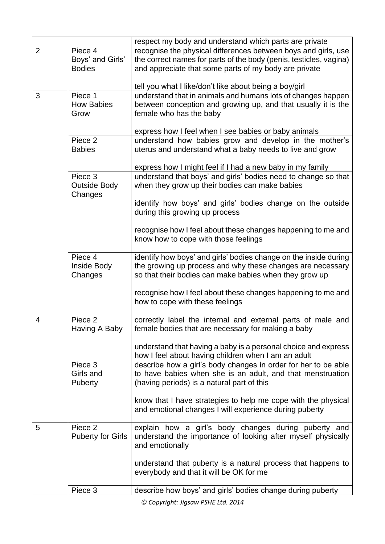|                |                                         | respect my body and understand which parts are private             |  |  |
|----------------|-----------------------------------------|--------------------------------------------------------------------|--|--|
| $\overline{2}$ | Piece 4                                 | recognise the physical differences between boys and girls, use     |  |  |
|                | Boys' and Girls'                        | the correct names for parts of the body (penis, testicles, vagina) |  |  |
|                | <b>Bodies</b>                           | and appreciate that some parts of my body are private              |  |  |
|                |                                         |                                                                    |  |  |
|                |                                         | tell you what I like/don't like about being a boy/girl             |  |  |
| 3              | Piece 1                                 | understand that in animals and humans lots of changes happen       |  |  |
|                | <b>How Babies</b>                       | between conception and growing up, and that usually it is the      |  |  |
|                | female who has the baby<br>Grow         |                                                                    |  |  |
|                |                                         |                                                                    |  |  |
|                |                                         | express how I feel when I see babies or baby animals               |  |  |
|                | Piece 2                                 | understand how babies grow and develop in the mother's             |  |  |
|                | <b>Babies</b>                           | uterus and understand what a baby needs to live and grow           |  |  |
|                |                                         |                                                                    |  |  |
|                |                                         | express how I might feel if I had a new baby in my family          |  |  |
|                | Piece 3                                 | understand that boys' and girls' bodies need to change so that     |  |  |
|                | <b>Outside Body</b>                     | when they grow up their bodies can make babies                     |  |  |
|                | Changes                                 |                                                                    |  |  |
|                |                                         | identify how boys' and girls' bodies change on the outside         |  |  |
|                |                                         | during this growing up process                                     |  |  |
|                |                                         |                                                                    |  |  |
|                |                                         | recognise how I feel about these changes happening to me and       |  |  |
|                | know how to cope with those feelings    |                                                                    |  |  |
|                |                                         |                                                                    |  |  |
|                | Piece 4                                 | identify how boys' and girls' bodies change on the inside during   |  |  |
|                | Inside Body                             | the growing up process and why these changes are necessary         |  |  |
|                | Changes                                 | so that their bodies can make babies when they grow up             |  |  |
|                |                                         |                                                                    |  |  |
|                |                                         | recognise how I feel about these changes happening to me and       |  |  |
|                |                                         | how to cope with these feelings                                    |  |  |
| 4              | Piece 2                                 | correctly label the internal and external parts of male and        |  |  |
|                | Having A Baby                           | female bodies that are necessary for making a baby                 |  |  |
|                |                                         |                                                                    |  |  |
|                |                                         | understand that having a baby is a personal choice and express     |  |  |
|                |                                         | how I feel about having children when I am an adult                |  |  |
|                | Piece 3                                 | describe how a girl's body changes in order for her to be able     |  |  |
|                | Girls and                               | to have babies when she is an adult, and that menstruation         |  |  |
|                | <b>Puberty</b>                          | (having periods) is a natural part of this                         |  |  |
|                |                                         |                                                                    |  |  |
|                |                                         | know that I have strategies to help me cope with the physical      |  |  |
|                |                                         | and emotional changes I will experience during puberty             |  |  |
|                |                                         |                                                                    |  |  |
| 5              | Piece 2                                 | explain how a girl's body changes during puberty and               |  |  |
|                | <b>Puberty for Girls</b>                | understand the importance of looking after myself physically       |  |  |
|                |                                         | and emotionally                                                    |  |  |
|                |                                         |                                                                    |  |  |
|                |                                         | understand that puberty is a natural process that happens to       |  |  |
|                | everybody and that it will be OK for me |                                                                    |  |  |
|                |                                         |                                                                    |  |  |
|                | Piece 3                                 | describe how boys' and girls' bodies change during puberty         |  |  |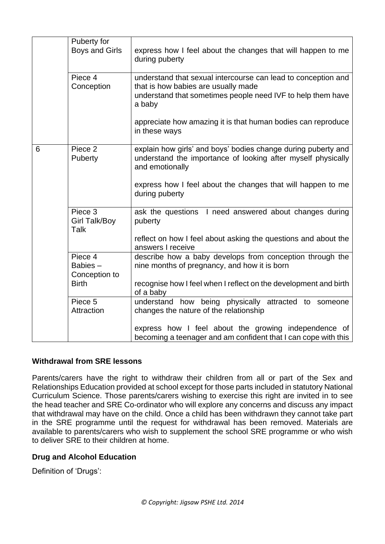|   | Puberty for<br><b>Boys and Girls</b>                | express how I feel about the changes that will happen to me<br>during puberty                                                                                                                                                     |
|---|-----------------------------------------------------|-----------------------------------------------------------------------------------------------------------------------------------------------------------------------------------------------------------------------------------|
|   | Piece 4<br>Conception                               | understand that sexual intercourse can lead to conception and<br>that is how babies are usually made<br>understand that sometimes people need IVF to help them have<br>a baby                                                     |
|   |                                                     | appreciate how amazing it is that human bodies can reproduce<br>in these ways                                                                                                                                                     |
| 6 | Piece 2<br>Puberty                                  | explain how girls' and boys' bodies change during puberty and<br>understand the importance of looking after myself physically<br>and emotionally<br>express how I feel about the changes that will happen to me<br>during puberty |
|   | Piece 3<br><b>Girl Talk/Boy</b><br><b>Talk</b>      | ask the questions I need answered about changes during<br>puberty<br>reflect on how I feel about asking the questions and about the<br>answers I receive                                                                          |
|   | Piece 4<br>Babies-<br>Conception to<br><b>Birth</b> | describe how a baby develops from conception through the<br>nine months of pregnancy, and how it is born<br>recognise how I feel when I reflect on the development and birth<br>of a baby                                         |
|   | Piece 5<br>Attraction                               | understand how being physically attracted to someone<br>changes the nature of the relationship<br>express how I feel about the growing independence of                                                                            |
|   |                                                     | becoming a teenager and am confident that I can cope with this                                                                                                                                                                    |

### **Withdrawal from SRE lessons**

Parents/carers have the right to withdraw their children from all or part of the Sex and Relationships Education provided at school except for those parts included in statutory National Curriculum Science. Those parents/carers wishing to exercise this right are invited in to see the head teacher and SRE Co-ordinator who will explore any concerns and discuss any impact that withdrawal may have on the child. Once a child has been withdrawn they cannot take part in the SRE programme until the request for withdrawal has been removed. Materials are available to parents/carers who wish to supplement the school SRE programme or who wish to deliver SRE to their children at home.

#### **Drug and Alcohol Education**

Definition of 'Drugs':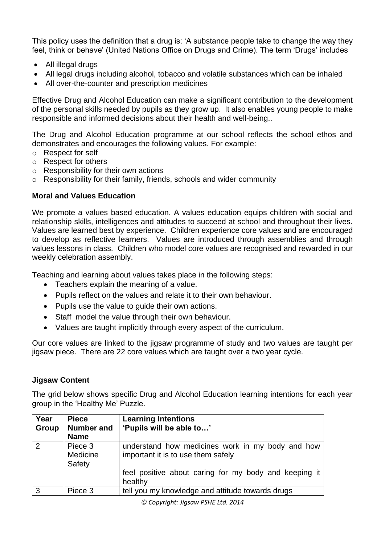This policy uses the definition that a drug is: 'A substance people take to change the way they feel, think or behave' (United Nations Office on Drugs and Crime). The term 'Drugs' includes

- All illegal drugs
- All legal drugs including alcohol, tobacco and volatile substances which can be inhaled
- All over-the-counter and prescription medicines

Effective Drug and Alcohol Education can make a significant contribution to the development of the personal skills needed by pupils as they grow up. It also enables young people to make responsible and informed decisions about their health and well-being..

The Drug and Alcohol Education programme at our school reflects the school ethos and demonstrates and encourages the following values. For example:

- o Respect for self
- o Respect for others
- o Responsibility for their own actions
- o Responsibility for their family, friends, schools and wider community

### **Moral and Values Education**

We promote a values based education. A values education equips children with social and relationship skills, intelligences and attitudes to succeed at school and throughout their lives. Values are learned best by experience. Children experience core values and are encouraged to develop as reflective learners. Values are introduced through assemblies and through values lessons in class. Children who model core values are recognised and rewarded in our weekly celebration assembly.

Teaching and learning about values takes place in the following steps:

- Teachers explain the meaning of a value.
- Pupils reflect on the values and relate it to their own behaviour.
- Pupils use the value to quide their own actions.
- Staff model the value through their own behaviour.
- Values are taught implicitly through every aspect of the curriculum.

Our core values are linked to the jigsaw programme of study and two values are taught per jigsaw piece. There are 22 core values which are taught over a two year cycle.

#### **Jigsaw Content**

The grid below shows specific Drug and Alcohol Education learning intentions for each year group in the 'Healthy Me' Puzzle.

| Year<br>Group | <b>Piece</b><br><b>Number and</b> | <b>Learning Intentions</b><br>'Pupils will be able to'                                 |  |
|---------------|-----------------------------------|----------------------------------------------------------------------------------------|--|
|               | <b>Name</b>                       |                                                                                        |  |
| 2             | Piece 3<br>Medicine<br>Safety     | understand how medicines work in my body and how<br>important it is to use them safely |  |
|               |                                   | feel positive about caring for my body and keeping it<br>healthy                       |  |
| 3             | Piece 3                           | tell you my knowledge and attitude towards drugs                                       |  |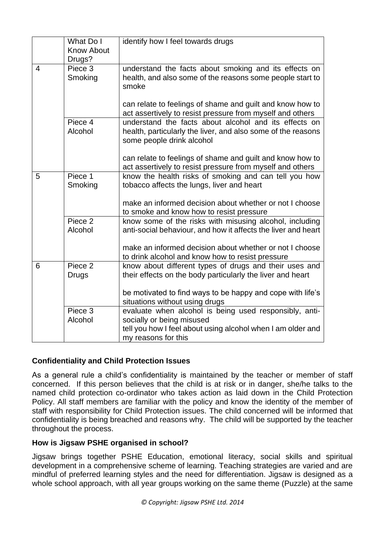|                         | What Do I         | identify how I feel towards drugs                             |
|-------------------------|-------------------|---------------------------------------------------------------|
|                         | <b>Know About</b> |                                                               |
|                         | Drugs?            |                                                               |
| $\overline{\mathbf{4}}$ | Piece 3           | understand the facts about smoking and its effects on         |
|                         | Smoking           | health, and also some of the reasons some people start to     |
|                         |                   | smoke                                                         |
|                         |                   |                                                               |
|                         |                   | can relate to feelings of shame and guilt and know how to     |
|                         |                   | act assertively to resist pressure from myself and others     |
|                         | Piece 4           | understand the facts about alcohol and its effects on         |
|                         | Alcohol           | health, particularly the liver, and also some of the reasons  |
|                         |                   | some people drink alcohol                                     |
|                         |                   |                                                               |
|                         |                   | can relate to feelings of shame and guilt and know how to     |
|                         |                   | act assertively to resist pressure from myself and others     |
| Piece 1<br>5            |                   | know the health risks of smoking and can tell you how         |
|                         | Smoking           | tobacco affects the lungs, liver and heart                    |
|                         |                   |                                                               |
|                         |                   | make an informed decision about whether or not I choose       |
|                         |                   | to smoke and know how to resist pressure                      |
|                         | Piece 2           | know some of the risks with misusing alcohol, including       |
|                         | Alcohol           | anti-social behaviour, and how it affects the liver and heart |
|                         |                   |                                                               |
|                         |                   | make an informed decision about whether or not I choose       |
|                         |                   | to drink alcohol and know how to resist pressure              |
| 6                       | Piece 2           | know about different types of drugs and their uses and        |
|                         | <b>Drugs</b>      | their effects on the body particularly the liver and heart    |
|                         |                   |                                                               |
|                         |                   | be motivated to find ways to be happy and cope with life's    |
|                         |                   | situations without using drugs                                |
|                         | Piece 3           | evaluate when alcohol is being used responsibly, anti-        |
|                         | Alcohol           | socially or being misused                                     |
|                         |                   | tell you how I feel about using alcohol when I am older and   |
|                         |                   | my reasons for this                                           |

# **Confidentiality and Child Protection Issues**

As a general rule a child's confidentiality is maintained by the teacher or member of staff concerned. If this person believes that the child is at risk or in danger, she/he talks to the named child protection co-ordinator who takes action as laid down in the Child Protection Policy. All staff members are familiar with the policy and know the identity of the member of staff with responsibility for Child Protection issues. The child concerned will be informed that confidentiality is being breached and reasons why. The child will be supported by the teacher throughout the process.

# **How is Jigsaw PSHE organised in school?**

Jigsaw brings together PSHE Education, emotional literacy, social skills and spiritual development in a comprehensive scheme of learning. Teaching strategies are varied and are mindful of preferred learning styles and the need for differentiation. Jigsaw is designed as a whole school approach, with all year groups working on the same theme (Puzzle) at the same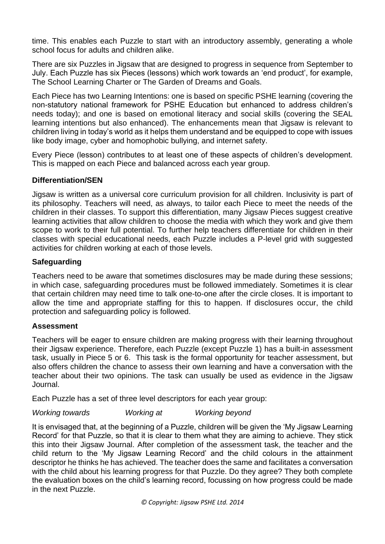time. This enables each Puzzle to start with an introductory assembly, generating a whole school focus for adults and children alike.

There are six Puzzles in Jigsaw that are designed to progress in sequence from September to July. Each Puzzle has six Pieces (lessons) which work towards an 'end product', for example, The School Learning Charter or The Garden of Dreams and Goals.

Each Piece has two Learning Intentions: one is based on specific PSHE learning (covering the non-statutory national framework for PSHE Education but enhanced to address children's needs today); and one is based on emotional literacy and social skills (covering the SEAL learning intentions but also enhanced). The enhancements mean that Jigsaw is relevant to children living in today's world as it helps them understand and be equipped to cope with issues like body image, cyber and homophobic bullying, and internet safety.

Every Piece (lesson) contributes to at least one of these aspects of children's development. This is mapped on each Piece and balanced across each year group.

### **Differentiation/SEN**

Jigsaw is written as a universal core curriculum provision for all children. Inclusivity is part of its philosophy. Teachers will need, as always, to tailor each Piece to meet the needs of the children in their classes. To support this differentiation, many Jigsaw Pieces suggest creative learning activities that allow children to choose the media with which they work and give them scope to work to their full potential. To further help teachers differentiate for children in their classes with special educational needs, each Puzzle includes a P-level grid with suggested activities for children working at each of those levels.

### **Safeguarding**

Teachers need to be aware that sometimes disclosures may be made during these sessions; in which case, safeguarding procedures must be followed immediately. Sometimes it is clear that certain children may need time to talk one-to-one after the circle closes. It is important to allow the time and appropriate staffing for this to happen. If disclosures occur, the child protection and safeguarding policy is followed.

#### **Assessment**

Teachers will be eager to ensure children are making progress with their learning throughout their Jigsaw experience. Therefore, each Puzzle (except Puzzle 1) has a built-in assessment task, usually in Piece 5 or 6. This task is the formal opportunity for teacher assessment, but also offers children the chance to assess their own learning and have a conversation with the teacher about their two opinions. The task can usually be used as evidence in the Jigsaw Journal.

Each Puzzle has a set of three level descriptors for each year group:

### *Working towards Working at Working beyond*

It is envisaged that, at the beginning of a Puzzle, children will be given the 'My Jigsaw Learning Record' for that Puzzle, so that it is clear to them what they are aiming to achieve. They stick this into their Jigsaw Journal. After completion of the assessment task, the teacher and the child return to the 'My Jigsaw Learning Record' and the child colours in the attainment descriptor he thinks he has achieved. The teacher does the same and facilitates a conversation with the child about his learning progress for that Puzzle. Do they agree? They both complete the evaluation boxes on the child's learning record, focussing on how progress could be made in the next Puzzle.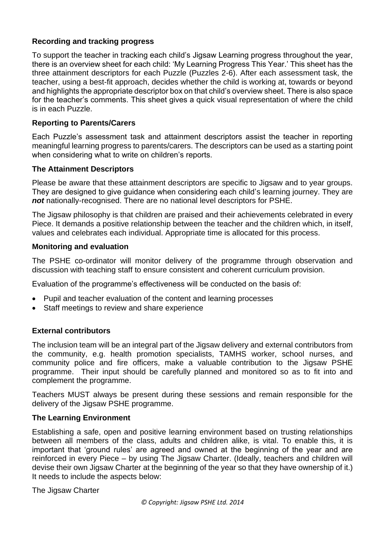### **Recording and tracking progress**

To support the teacher in tracking each child's Jigsaw Learning progress throughout the year, there is an overview sheet for each child: 'My Learning Progress This Year.' This sheet has the three attainment descriptors for each Puzzle (Puzzles 2-6). After each assessment task, the teacher, using a best-fit approach, decides whether the child is working at, towards or beyond and highlights the appropriate descriptor box on that child's overview sheet. There is also space for the teacher's comments. This sheet gives a quick visual representation of where the child is in each Puzzle.

## **Reporting to Parents/Carers**

Each Puzzle's assessment task and attainment descriptors assist the teacher in reporting meaningful learning progress to parents/carers. The descriptors can be used as a starting point when considering what to write on children's reports.

## **The Attainment Descriptors**

Please be aware that these attainment descriptors are specific to Jigsaw and to year groups. They are designed to give guidance when considering each child's learning journey. They are *not* nationally-recognised. There are no national level descriptors for PSHE.

The Jigsaw philosophy is that children are praised and their achievements celebrated in every Piece. It demands a positive relationship between the teacher and the children which, in itself, values and celebrates each individual. Appropriate time is allocated for this process.

### **Monitoring and evaluation**

The PSHE co-ordinator will monitor delivery of the programme through observation and discussion with teaching staff to ensure consistent and coherent curriculum provision.

Evaluation of the programme's effectiveness will be conducted on the basis of:

- Pupil and teacher evaluation of the content and learning processes
- Staff meetings to review and share experience

### **External contributors**

The inclusion team will be an integral part of the Jigsaw delivery and external contributors from the community, e.g. health promotion specialists, TAMHS worker, school nurses, and community police and fire officers, make a valuable contribution to the Jigsaw PSHE programme. Their input should be carefully planned and monitored so as to fit into and complement the programme.

Teachers MUST always be present during these sessions and remain responsible for the delivery of the Jigsaw PSHE programme.

### **The Learning Environment**

Establishing a safe, open and positive learning environment based on trusting relationships between all members of the class, adults and children alike, is vital. To enable this, it is important that 'ground rules' are agreed and owned at the beginning of the year and are reinforced in every Piece – by using The Jigsaw Charter. (Ideally, teachers and children will devise their own Jigsaw Charter at the beginning of the year so that they have ownership of it.) It needs to include the aspects below:

The Jigsaw Charter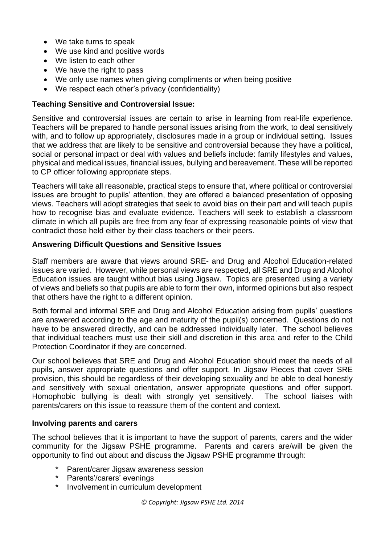- We take turns to speak
- We use kind and positive words
- We listen to each other
- We have the right to pass
- We only use names when giving compliments or when being positive
- We respect each other's privacy (confidentiality)

### **Teaching Sensitive and Controversial Issue:**

Sensitive and controversial issues are certain to arise in learning from real-life experience. Teachers will be prepared to handle personal issues arising from the work, to deal sensitively with, and to follow up appropriately, disclosures made in a group or individual setting. Issues that we address that are likely to be sensitive and controversial because they have a political, social or personal impact or deal with values and beliefs include: family lifestyles and values, physical and medical issues, financial issues, bullying and bereavement. These will be reported to CP officer following appropriate steps.

Teachers will take all reasonable, practical steps to ensure that, where political or controversial issues are brought to pupils' attention, they are offered a balanced presentation of opposing views. Teachers will adopt strategies that seek to avoid bias on their part and will teach pupils how to recognise bias and evaluate evidence. Teachers will seek to establish a classroom climate in which all pupils are free from any fear of expressing reasonable points of view that contradict those held either by their class teachers or their peers.

#### **Answering Difficult Questions and Sensitive Issues**

Staff members are aware that views around SRE- and Drug and Alcohol Education-related issues are varied. However, while personal views are respected, all SRE and Drug and Alcohol Education issues are taught without bias using Jigsaw. Topics are presented using a variety of views and beliefs so that pupils are able to form their own, informed opinions but also respect that others have the right to a different opinion.

Both formal and informal SRE and Drug and Alcohol Education arising from pupils' questions are answered according to the age and maturity of the pupil(s) concerned. Questions do not have to be answered directly, and can be addressed individually later. The school believes that individual teachers must use their skill and discretion in this area and refer to the Child Protection Coordinator if they are concerned.

Our school believes that SRE and Drug and Alcohol Education should meet the needs of all pupils, answer appropriate questions and offer support. In Jigsaw Pieces that cover SRE provision, this should be regardless of their developing sexuality and be able to deal honestly and sensitively with sexual orientation, answer appropriate questions and offer support. Homophobic bullying is dealt with strongly yet sensitively. The school liaises with parents/carers on this issue to reassure them of the content and context.

#### **Involving parents and carers**

The school believes that it is important to have the support of parents, carers and the wider community for the Jigsaw PSHE programme. Parents and carers are/will be given the opportunity to find out about and discuss the Jigsaw PSHE programme through:

- Parent/carer Jigsaw awareness session
- Parents'/carers' evenings
- Involvement in curriculum development